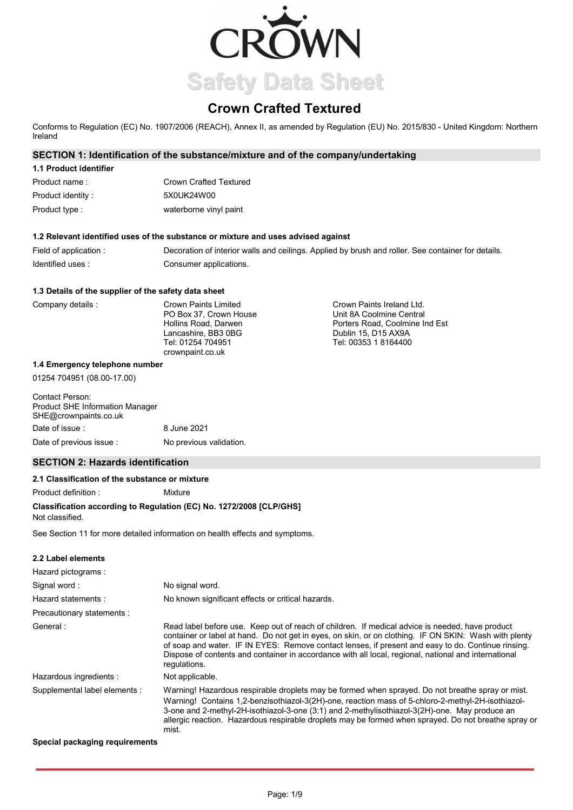

# **Crown Crafted Textured**

Conforms to Regulation (EC) No. 1907/2006 (REACH), Annex II, as amended by Regulation (EU) No. 2015/830 - United Kingdom: Northern Ireland

# **SECTION 1: Identification of the substance/mixture and of the company/undertaking**

| 1.1 Product identifier |                        |
|------------------------|------------------------|
| Product name:          | Crown Crafted Textured |
| Product identity:      | 5X0UK24W00             |
| Product type :         | waterborne vinyl paint |

### **1.2 Relevant identified uses of the substance or mixture and uses advised against**

Field of application : Decoration of interior walls and ceilings. Applied by brush and roller. See container for details. Identified uses : Consumer applications.

### **1.3 Details of the supplier of the safety data sheet**

| Company details : |  |  |
|-------------------|--|--|
|-------------------|--|--|

| Crown Paints Limited   | Crown Paints Ireland Ltd.      |
|------------------------|--------------------------------|
| PO Box 37. Crown House | Unit 8A Coolmine Central       |
| Hollins Road, Darwen   | Porters Road, Coolmine Ind Est |
| Lancashire, BB3 0BG    | Dublin 15, D15 AX9A            |
| Tel: 01254 704951      | Tel: 00353 1 8164400           |
| crownpaint.co.uk       |                                |

#### **1.4 Emergency telephone number**

01254 704951 (08.00-17.00)

| Contact Person:<br><b>Product SHE Information Manager</b><br>SHE@crownpaints.co.uk |                         |
|------------------------------------------------------------------------------------|-------------------------|
| Date of issue :                                                                    | 8 June 2021             |
| Date of previous issue:                                                            | No previous validation. |

# **SECTION 2: Hazards identification**

### **2.1 Classification of the substance or mixture**

Product definition : Mixture

# **Classification according to Regulation (EC) No. 1272/2008 [CLP/GHS]**

Not classified.

See Section 11 for more detailed information on health effects and symptoms.

# **2.2 Label elements**

| Hazard pictograms:             |                                                                                                                                                                                                                                                                                                                                                                                                                                        |
|--------------------------------|----------------------------------------------------------------------------------------------------------------------------------------------------------------------------------------------------------------------------------------------------------------------------------------------------------------------------------------------------------------------------------------------------------------------------------------|
| Signal word:                   | No signal word.                                                                                                                                                                                                                                                                                                                                                                                                                        |
| Hazard statements:             | No known significant effects or critical hazards.                                                                                                                                                                                                                                                                                                                                                                                      |
| Precautionary statements :     |                                                                                                                                                                                                                                                                                                                                                                                                                                        |
| General:                       | Read label before use. Keep out of reach of children. If medical advice is needed, have product<br>container or label at hand. Do not get in eyes, on skin, or on clothing. IF ON SKIN: Wash with plenty<br>of soap and water. IF IN EYES: Remove contact lenses, if present and easy to do. Continue rinsing.<br>Dispose of contents and container in accordance with all local, regional, national and international<br>regulations. |
| Hazardous ingredients :        | Not applicable.                                                                                                                                                                                                                                                                                                                                                                                                                        |
| Supplemental label elements :  | Warning! Hazardous respirable droplets may be formed when sprayed. Do not breathe spray or mist.<br>Warning! Contains 1.2-benzisothiazol-3(2H)-one, reaction mass of 5-chloro-2-methyl-2H-isothiazol-<br>3-one and 2-methyl-2H-isothiazol-3-one (3:1) and 2-methylisothiazol-3(2H)-one. May produce an<br>allergic reaction. Hazardous respirable droplets may be formed when sprayed. Do not breathe spray or<br>mist.                |
| Special packaging requirements |                                                                                                                                                                                                                                                                                                                                                                                                                                        |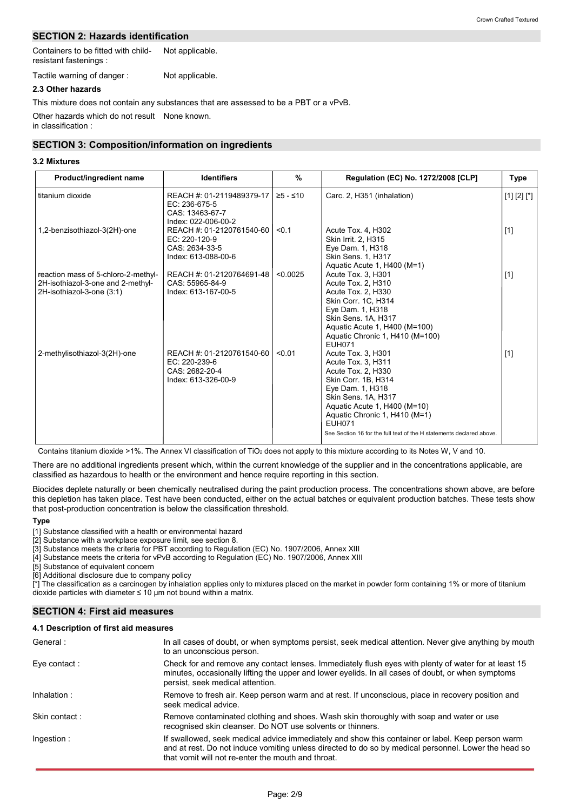# **SECTION 2: Hazards identification**

Containers to be fitted with childresistant fastenings : Not applicable.

Tactile warning of danger : Not applicable.

# **2.3 Other hazards**

Other hazards which do not result None known. in classification : This mixture does not contain any substances that are assessed to be a PBT or a vPvB.

# **SECTION 3: Composition/information on ingredients**

### **3.2 Mixtures**

| Product/ingredient name                                                                               | <b>Identifiers</b>                                                                     | $\frac{9}{6}$ | <b>Regulation (EC) No. 1272/2008 [CLP]</b>                                                                                                                                                                                                                                                 | Type          |
|-------------------------------------------------------------------------------------------------------|----------------------------------------------------------------------------------------|---------------|--------------------------------------------------------------------------------------------------------------------------------------------------------------------------------------------------------------------------------------------------------------------------------------------|---------------|
| titanium dioxide                                                                                      | REACH #: 01-2119489379-17  <br>EC: 236-675-5<br>CAS: 13463-67-7<br>Index: 022-006-00-2 | $≥5 - ≤10$    | Carc. 2, H351 (inhalation)                                                                                                                                                                                                                                                                 | $[1] [2] [*]$ |
| 1,2-benzisothiazol-3(2H)-one                                                                          | REACH #: 01-2120761540-60<br>EC: 220-120-9<br>CAS: 2634-33-5<br>Index: 613-088-00-6    | < 0.1         | Acute Tox. 4, H302<br>Skin Irrit. 2, H315<br>Eye Dam. 1, H318<br>Skin Sens. 1, H317<br>Aquatic Acute 1, H400 (M=1)                                                                                                                                                                         | $[1]$         |
| reaction mass of 5-chloro-2-methyl-<br>2H-isothiazol-3-one and 2-methyl-<br>2H-isothiazol-3-one (3:1) | REACH #: 01-2120764691-48<br>CAS: 55965-84-9<br>Index: 613-167-00-5                    | < 0.0025      | Acute Tox. 3, H301<br>Acute Tox. 2, H310<br>Acute Tox. 2, H330<br>Skin Corr. 1C, H314<br>Eye Dam. 1, H318<br>Skin Sens, 1A, H317<br>Aquatic Acute 1, H400 (M=100)<br>Aquatic Chronic 1, H410 (M=100)<br><b>EUH071</b>                                                                      | $[1]$         |
| 2-methylisothiazol-3(2H)-one                                                                          | REACH #: 01-2120761540-60<br>$EC: 220-239-6$<br>CAS: 2682-20-4<br>Index: 613-326-00-9  | < 0.01        | Acute Tox. 3. H301<br>Acute Tox. 3, H311<br>Acute Tox. 2, H330<br>Skin Corr. 1B, H314<br>Eye Dam. 1, H318<br>Skin Sens. 1A, H317<br>Aquatic Acute 1, H400 (M=10)<br>Aquatic Chronic 1, H410 (M=1)<br><b>EUH071</b><br>See Section 16 for the full text of the H statements declared above. | $[1]$         |

Contains titanium dioxide >1%. The Annex VI classification of TiO<sub>2</sub> does not apply to this mixture according to its Notes W, V and 10.

There are no additional ingredients present which, within the current knowledge of the supplier and in the concentrations applicable, are classified as hazardous to health or the environment and hence require reporting in this section.

Biocides deplete naturally or been chemically neutralised during the paint production process. The concentrations shown above, are before this depletion has taken place. Test have been conducted, either on the actual batches or equivalent production batches. These tests show that post-production concentration is below the classification threshold.

#### **Type**

[1] Substance classified with a health or environmental hazard

[2] Substance with a workplace exposure limit, see section 8.

[3] Substance meets the criteria for PBT according to Regulation (EC) No. 1907/2006, Annex XIII

[4] Substance meets the criteria for vPvB according to Regulation (EC) No. 1907/2006, Annex XIII

[5] Substance of equivalent concern

[6] Additional disclosure due to company policy

[\*] The classification as a carcinogen by inhalation applies only to mixtures placed on the market in powder form containing 1% or more of titanium dioxide particles with diameter  $\leq 10$  µm not bound within a matrix.

# **SECTION 4: First aid measures**

#### **4.1 Description of first aid measures**

| General:      | In all cases of doubt, or when symptoms persist, seek medical attention. Never give anything by mouth<br>to an unconscious person.                                                                                                                             |
|---------------|----------------------------------------------------------------------------------------------------------------------------------------------------------------------------------------------------------------------------------------------------------------|
| Eve contact:  | Check for and remove any contact lenses. Immediately flush eyes with plenty of water for at least 15<br>minutes, occasionally lifting the upper and lower eyelids. In all cases of doubt, or when symptoms<br>persist, seek medical attention.                 |
| Inhalation:   | Remove to fresh air. Keep person warm and at rest. If unconscious, place in recovery position and<br>seek medical advice.                                                                                                                                      |
| Skin contact: | Remove contaminated clothing and shoes. Wash skin thoroughly with soap and water or use<br>recognised skin cleanser. Do NOT use solvents or thinners.                                                                                                          |
| Ingestion:    | If swallowed, seek medical advice immediately and show this container or label. Keep person warm<br>and at rest. Do not induce vomiting unless directed to do so by medical personnel. Lower the head so<br>that vomit will not re-enter the mouth and throat. |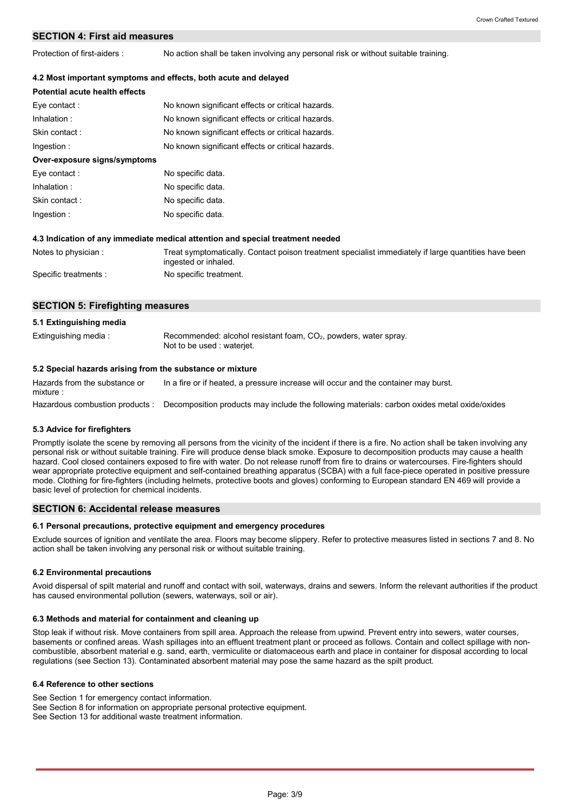# **SECTION 4: First aid measures**

Protection of first-aiders : No action shall be taken involving any personal risk or without suitable training.

### **4.2 Most important symptoms and effects, both acute and delayed**

| Potential acute health effects |                                                                                                                              |
|--------------------------------|------------------------------------------------------------------------------------------------------------------------------|
| Eye contact:                   | No known significant effects or critical hazards.                                                                            |
| Inhalation:                    | No known significant effects or critical hazards.                                                                            |
| Skin contact:                  | No known significant effects or critical hazards.                                                                            |
| Ingestion:                     | No known significant effects or critical hazards.                                                                            |
| Over-exposure signs/symptoms   |                                                                                                                              |
| Eye contact:                   | No specific data.                                                                                                            |
| Inhalation:                    | No specific data.                                                                                                            |
| Skin contact:                  | No specific data.                                                                                                            |
| Ingestion:                     | No specific data.                                                                                                            |
|                                | 4.3 Indication of any immediate medical attention and special treatment needed                                               |
| Notes to physician:            | Treat symptomatically. Contact poison treatment specialist immediately if large quantities have been<br>ingested or inhaled. |
| Specific treatments :          | No specific treatment.                                                                                                       |

# **SECTION 5: Firefighting measures**

| 5.1 Extinguishing media                                   |                                                                                                 |
|-----------------------------------------------------------|-------------------------------------------------------------------------------------------------|
| Extinguishing media:                                      | Recommended: alcohol resistant foam, $CO2$ , powders, water spray.<br>Not to be used: waterjet. |
| 5.2 Special hazards arising from the substance or mixture |                                                                                                 |

Hazardous combustion products : Decomposition products may include the following materials: carbon oxides metal oxide/oxides Hazards from the substance or mixture : In a fire or if heated, a pressure increase will occur and the container may burst.

# **5.3 Advice for firefighters**

Promptly isolate the scene by removing all persons from the vicinity of the incident if there is a fire. No action shall be taken involving any personal risk or without suitable training. Fire will produce dense black smoke. Exposure to decomposition products may cause a health hazard. Cool closed containers exposed to fire with water. Do not release runoff from fire to drains or watercourses. Fire-fighters should wear appropriate protective equipment and self-contained breathing apparatus (SCBA) with a full face-piece operated in positive pressure mode. Clothing for fire-fighters (including helmets, protective boots and gloves) conforming to European standard EN 469 will provide a basic level of protection for chemical incidents.

### **SECTION 6: Accidental release measures**

#### **6.1 Personal precautions, protective equipment and emergency procedures**

Exclude sources of ignition and ventilate the area. Floors may become slippery. Refer to protective measures listed in sections 7 and 8. No action shall be taken involving any personal risk or without suitable training.

#### **6.2 Environmental precautions**

Avoid dispersal of spilt material and runoff and contact with soil, waterways, drains and sewers. Inform the relevant authorities if the product has caused environmental pollution (sewers, waterways, soil or air).

#### **6.3 Methods and material for containment and cleaning up**

Stop leak if without risk. Move containers from spill area. Approach the release from upwind. Prevent entry into sewers, water courses, basements or confined areas. Wash spillages into an effluent treatment plant or proceed as follows. Contain and collect spillage with noncombustible, absorbent material e.g. sand, earth, vermiculite or diatomaceous earth and place in container for disposal according to local regulations (see Section 13). Contaminated absorbent material may pose the same hazard as the spilt product.

#### **6.4 Reference to other sections**

See Section 1 for emergency contact information. See Section 8 for information on appropriate personal protective equipment. See Section 13 for additional waste treatment information.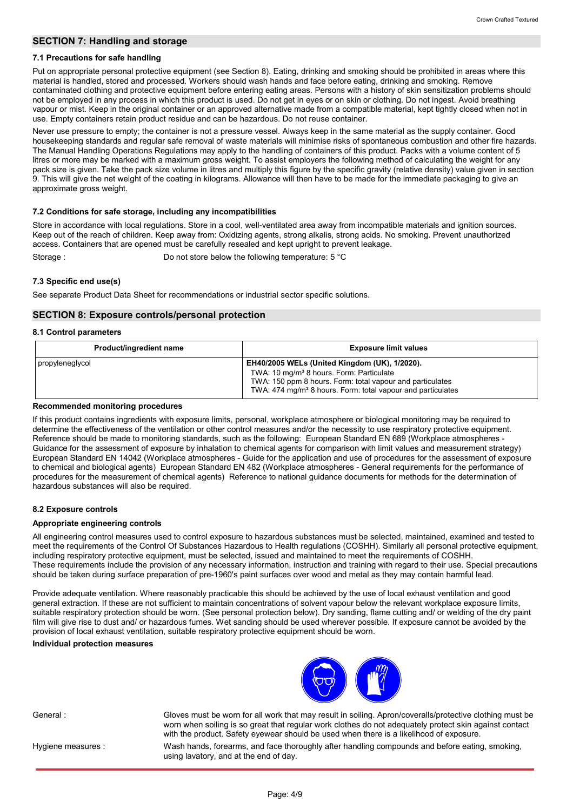# **SECTION 7: Handling and storage**

#### **7.1 Precautions for safe handling**

Put on appropriate personal protective equipment (see Section 8). Eating, drinking and smoking should be prohibited in areas where this material is handled, stored and processed. Workers should wash hands and face before eating, drinking and smoking. Remove contaminated clothing and protective equipment before entering eating areas. Persons with a history of skin sensitization problems should not be employed in any process in which this product is used. Do not get in eyes or on skin or clothing. Do not ingest. Avoid breathing vapour or mist. Keep in the original container or an approved alternative made from a compatible material, kept tightly closed when not in use. Empty containers retain product residue and can be hazardous. Do not reuse container.

Never use pressure to empty; the container is not a pressure vessel. Always keep in the same material as the supply container. Good housekeeping standards and regular safe removal of waste materials will minimise risks of spontaneous combustion and other fire hazards. The Manual Handling Operations Regulations may apply to the handling of containers of this product. Packs with a volume content of 5 litres or more may be marked with a maximum gross weight. To assist employers the following method of calculating the weight for any pack size is given. Take the pack size volume in litres and multiply this figure by the specific gravity (relative density) value given in section 9. This will give the net weight of the coating in kilograms. Allowance will then have to be made for the immediate packaging to give an approximate gross weight.

### **7.2 Conditions for safe storage, including any incompatibilities**

Store in accordance with local regulations. Store in a cool, well-ventilated area away from incompatible materials and ignition sources. Keep out of the reach of children. Keep away from: Oxidizing agents, strong alkalis, strong acids. No smoking. Prevent unauthorized access. Containers that are opened must be carefully resealed and kept upright to prevent leakage. Storage : Do not store below the following temperature: 5 °C

### **7.3 Specific end use(s)**

See separate Product Data Sheet for recommendations or industrial sector specific solutions.

# **SECTION 8: Exposure controls/personal protection**

### **8.1 Control parameters**

| Product/ingredient name | <b>Exposure limit values</b>                                                                                                                                                                                                                  |
|-------------------------|-----------------------------------------------------------------------------------------------------------------------------------------------------------------------------------------------------------------------------------------------|
| I propyleneglycol       | EH40/2005 WELs (United Kingdom (UK), 1/2020).<br>TWA: 10 mg/m <sup>3</sup> 8 hours. Form: Particulate<br>TWA: 150 ppm 8 hours. Form: total vapour and particulates<br>TWA: 474 mg/m <sup>3</sup> 8 hours. Form: total vapour and particulates |

#### **Recommended monitoring procedures**

If this product contains ingredients with exposure limits, personal, workplace atmosphere or biological monitoring may be required to determine the effectiveness of the ventilation or other control measures and/or the necessity to use respiratory protective equipment. Reference should be made to monitoring standards, such as the following: European Standard EN 689 (Workplace atmospheres - Guidance for the assessment of exposure by inhalation to chemical agents for comparison with limit values and measurement strategy) European Standard EN 14042 (Workplace atmospheres - Guide for the application and use of procedures for the assessment of exposure to chemical and biological agents) European Standard EN 482 (Workplace atmospheres - General requirements for the performance of procedures for the measurement of chemical agents) Reference to national guidance documents for methods for the determination of hazardous substances will also be required.

# **8.2 Exposure controls**

# **Appropriate engineering controls**

All engineering control measures used to control exposure to hazardous substances must be selected, maintained, examined and tested to meet the requirements of the Control Of Substances Hazardous to Health regulations (COSHH). Similarly all personal protective equipment, including respiratory protective equipment, must be selected, issued and maintained to meet the requirements of COSHH. These requirements include the provision of any necessary information, instruction and training with regard to their use. Special precautions should be taken during surface preparation of pre-1960's paint surfaces over wood and metal as they may contain harmful lead.

Provide adequate ventilation. Where reasonably practicable this should be achieved by the use of local exhaust ventilation and good general extraction. If these are not sufficient to maintain concentrations of solvent vapour below the relevant workplace exposure limits, suitable respiratory protection should be worn. (See personal protection below). Dry sanding, flame cutting and/ or welding of the dry paint film will give rise to dust and/ or hazardous fumes. Wet sanding should be used wherever possible. If exposure cannot be avoided by the provision of local exhaust ventilation, suitable respiratory protective equipment should be worn.

#### **Individual protection measures**



General : Gloves must be worn for all work that may result in soiling. Apron/coveralls/protective clothing must be

Hygiene measures :

Wash hands, forearms, and face thoroughly after handling compounds and before eating, smoking, worn when soiling is so great that regular work clothes do not adequately protect skin against contact with the product. Safety eyewear should be used when there is a likelihood of exposure.

using lavatory, and at the end of day.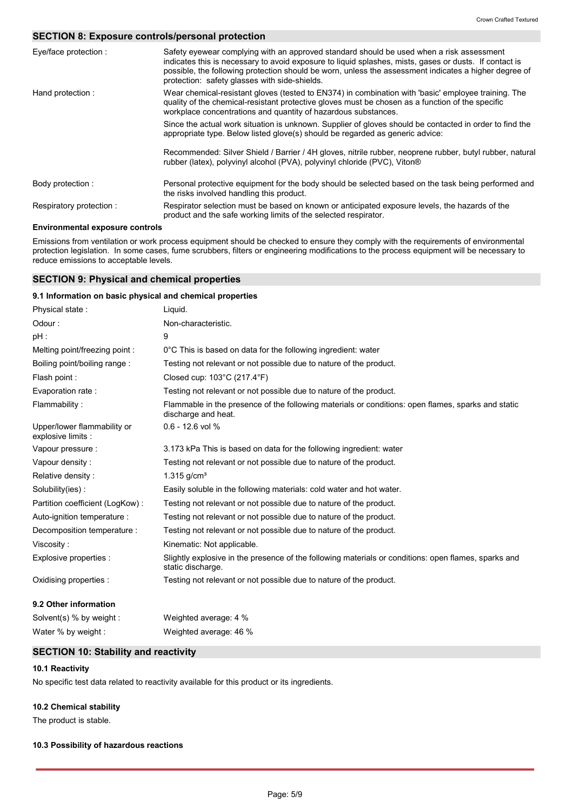# **SECTION 8: Exposure controls/personal protection**

| Eye/face protection :   | Safety eyewear complying with an approved standard should be used when a risk assessment<br>indicates this is necessary to avoid exposure to liquid splashes, mists, gases or dusts. If contact is<br>possible, the following protection should be worn, unless the assessment indicates a higher degree of<br>protection: safety glasses with side-shields. |
|-------------------------|--------------------------------------------------------------------------------------------------------------------------------------------------------------------------------------------------------------------------------------------------------------------------------------------------------------------------------------------------------------|
| Hand protection:        | Wear chemical-resistant gloves (tested to EN374) in combination with 'basic' employee training. The<br>quality of the chemical-resistant protective gloves must be chosen as a function of the specific<br>workplace concentrations and quantity of hazardous substances.                                                                                    |
|                         | Since the actual work situation is unknown. Supplier of gloves should be contacted in order to find the<br>appropriate type. Below listed glove(s) should be regarded as generic advice:                                                                                                                                                                     |
|                         | Recommended: Silver Shield / Barrier / 4H gloves, nitrile rubber, neoprene rubber, butyl rubber, natural<br>rubber (latex), polyvinyl alcohol (PVA), polyvinyl chloride (PVC), Viton®                                                                                                                                                                        |
| Body protection:        | Personal protective equipment for the body should be selected based on the task being performed and<br>the risks involved handling this product.                                                                                                                                                                                                             |
| Respiratory protection: | Respirator selection must be based on known or anticipated exposure levels, the hazards of the<br>product and the safe working limits of the selected respirator.                                                                                                                                                                                            |

# **Environmental exposure controls**

Emissions from ventilation or work process equipment should be checked to ensure they comply with the requirements of environmental protection legislation. In some cases, fume scrubbers, filters or engineering modifications to the process equipment will be necessary to reduce emissions to acceptable levels.

# **SECTION 9: Physical and chemical properties**

### **9.1 Information on basic physical and chemical properties**

| Physical state:                                   | Liquid.                                                                                                                   |
|---------------------------------------------------|---------------------------------------------------------------------------------------------------------------------------|
| Odour:                                            | Non-characteristic.                                                                                                       |
| pH :                                              | 9                                                                                                                         |
| Melting point/freezing point:                     | 0°C This is based on data for the following ingredient: water                                                             |
| Boiling point/boiling range:                      | Testing not relevant or not possible due to nature of the product.                                                        |
| Flash point:                                      | Closed cup: $103^{\circ}$ C (217.4 $^{\circ}$ F)                                                                          |
| Evaporation rate:                                 | Testing not relevant or not possible due to nature of the product.                                                        |
| Flammability:                                     | Flammable in the presence of the following materials or conditions: open flames, sparks and static<br>discharge and heat. |
| Upper/lower flammability or<br>explosive limits : | $0.6 - 12.6$ vol %                                                                                                        |
| Vapour pressure :                                 | 3.173 kPa This is based on data for the following ingredient: water                                                       |
| Vapour density:                                   | Testing not relevant or not possible due to nature of the product.                                                        |
| Relative density:                                 | $1.315$ g/cm <sup>3</sup>                                                                                                 |
| Solubility(ies):                                  | Easily soluble in the following materials: cold water and hot water.                                                      |
| Partition coefficient (LogKow):                   | Testing not relevant or not possible due to nature of the product.                                                        |
| Auto-ignition temperature :                       | Testing not relevant or not possible due to nature of the product.                                                        |
| Decomposition temperature :                       | Testing not relevant or not possible due to nature of the product.                                                        |
| Viscosity:                                        | Kinematic: Not applicable.                                                                                                |
| Explosive properties :                            | Slightly explosive in the presence of the following materials or conditions: open flames, sparks and<br>static discharge. |
| Oxidising properties :                            | Testing not relevant or not possible due to nature of the product.                                                        |
| 9.2 Other information                             |                                                                                                                           |
| Solvent(s) % by weight :                          | Weighted average: 4 %                                                                                                     |

# **SECTION 10: Stability and reactivity**

Water % by weight : Weighted average: 46 %

### **10.1 Reactivity**

No specific test data related to reactivity available for this product or its ingredients.

# **10.2 Chemical stability**

The product is stable.

#### **10.3 Possibility of hazardous reactions**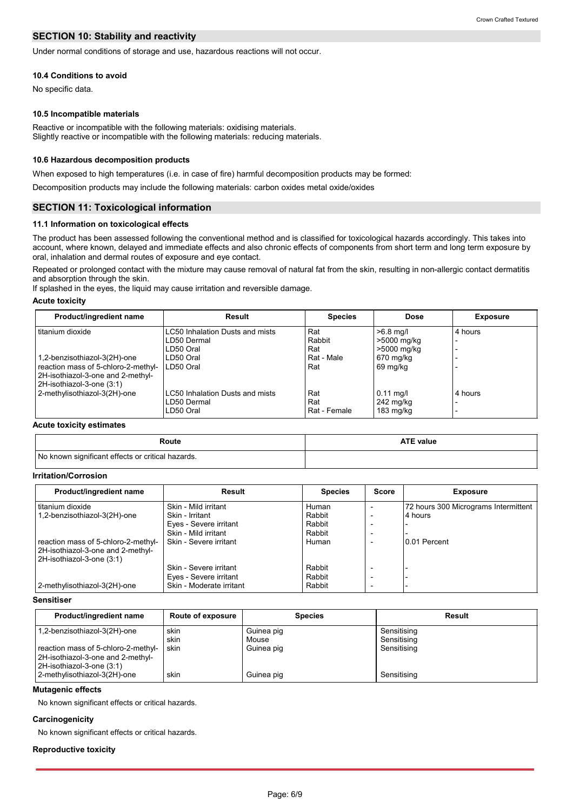# **SECTION 10: Stability and reactivity**

Under normal conditions of storage and use, hazardous reactions will not occur.

#### **10.4 Conditions to avoid**

No specific data.

#### **10.5 Incompatible materials**

Reactive or incompatible with the following materials: oxidising materials. Slightly reactive or incompatible with the following materials: reducing materials.

#### **10.6 Hazardous decomposition products**

When exposed to high temperatures (i.e. in case of fire) harmful decomposition products may be formed:

Decomposition products may include the following materials: carbon oxides metal oxide/oxides

# **SECTION 11: Toxicological information**

### **11.1 Information on toxicological effects**

The product has been assessed following the conventional method and is classified for toxicological hazards accordingly. This takes into account, where known, delayed and immediate effects and also chronic effects of components from short term and long term exposure by oral, inhalation and dermal routes of exposure and eye contact.

Repeated or prolonged contact with the mixture may cause removal of natural fat from the skin, resulting in non-allergic contact dermatitis and absorption through the skin.

If splashed in the eyes, the liquid may cause irritation and reversible damage.

#### **Acute toxicity**

| Product/ingredient name                                                                                                               | Result                                                      | <b>Species</b>             | Dose                                            | <b>Exposure</b> |
|---------------------------------------------------------------------------------------------------------------------------------------|-------------------------------------------------------------|----------------------------|-------------------------------------------------|-----------------|
| titanium dioxide                                                                                                                      | LC50 Inhalation Dusts and mists<br>LD50 Dermal<br>LD50 Oral | Rat<br>Rabbit<br>Rat       | $>6.8$ mg/l<br>>5000 mg/kg<br>>5000 mg/kg       | 4 hours         |
| 1,2-benzisothiazol-3(2H)-one<br>reaction mass of 5-chloro-2-methyl-<br>2H-isothiazol-3-one and 2-methyl-<br>2H-isothiazol-3-one (3:1) | LD50 Oral<br>LD50 Oral                                      | Rat - Male<br>Rat          | 670 mg/kg<br>69 mg/kg                           |                 |
| 2-methylisothiazol-3(2H)-one                                                                                                          | LC50 Inhalation Dusts and mists<br>LD50 Dermal<br>LD50 Oral | Rat<br>Rat<br>Rat - Female | $0.11$ mg/l<br>242 mg/kg<br>$183 \text{ mg/kg}$ | 4 hours         |

#### **Acute toxicity estimates**

| Route                                             | <b>ATE value</b> |
|---------------------------------------------------|------------------|
| No known significant effects or critical hazards. |                  |

#### **Irritation/Corrosion**

| Product/ingredient name             | Result                   | <b>Species</b> | <b>Score</b>             | <b>Exposure</b>                      |
|-------------------------------------|--------------------------|----------------|--------------------------|--------------------------------------|
| titanium dioxide                    | Skin - Mild irritant     | Human          |                          | 72 hours 300 Micrograms Intermittent |
| 1,2-benzisothiazol-3(2H)-one        | Skin - Irritant          | Rabbit         |                          | 4 hours                              |
|                                     | Eyes - Severe irritant   | Rabbit         |                          |                                      |
|                                     | Skin - Mild irritant     | Rabbit         | $\overline{\phantom{0}}$ |                                      |
| reaction mass of 5-chloro-2-methyl- | Skin - Severe irritant   | Human          | $\overline{\phantom{0}}$ | 0.01 Percent                         |
| 2H-isothiazol-3-one and 2-methyl-   |                          |                |                          |                                      |
| 2H-isothiazol-3-one (3:1)           |                          |                |                          |                                      |
|                                     | Skin - Severe irritant   | Rabbit         |                          |                                      |
|                                     | Eyes - Severe irritant   | Rabbit         |                          |                                      |
| 2-methylisothiazol-3(2H)-one        | Skin - Moderate irritant | Rabbit         | $\overline{\phantom{0}}$ |                                      |

#### **Sensitiser**

| Product/ingredient name                                                                        | Route of exposure    | <b>Species</b>                    | Result                                    |
|------------------------------------------------------------------------------------------------|----------------------|-----------------------------------|-------------------------------------------|
| 1,2-benzisothiazol-3(2H)-one<br>reaction mass of 5-chloro-2-methyl-                            | skin<br>skin<br>skin | Guinea pig<br>Mouse<br>Guinea pig | Sensitising<br>Sensitising<br>Sensitising |
| 2H-isothiazol-3-one and 2-methyl-<br>2H-isothiazol-3-one (3:1)<br>2-methylisothiazol-3(2H)-one | skin                 | Guinea pig                        | Sensitising                               |

# **Mutagenic effects**

No known significant effects or critical hazards.

# **Carcinogenicity**

No known significant effects or critical hazards.

#### **Reproductive toxicity**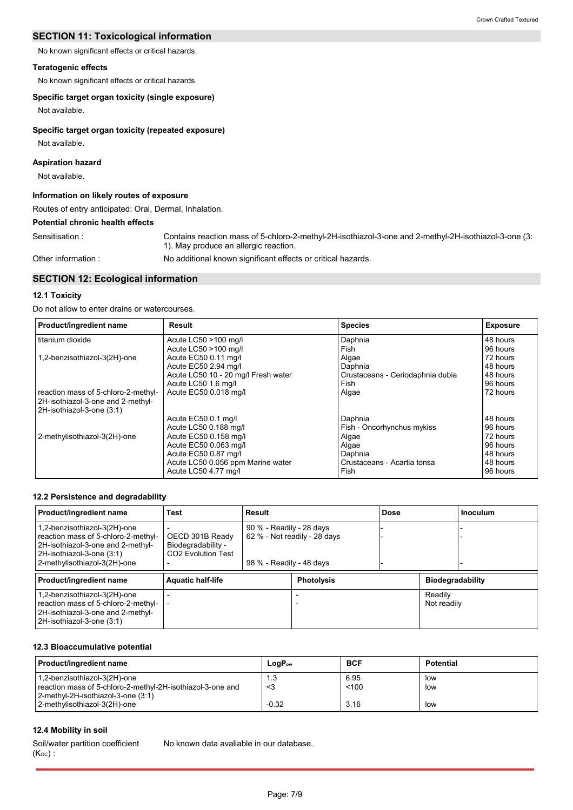No known significant effects or critical hazards.

# **Teratogenic effects**

No known significant effects or critical hazards.

# **Specific target organ toxicity (single exposure)**

Not available.

# **Specific target organ toxicity (repeated exposure)**

Not available.

# **Aspiration hazard**

Not available.

# **Information on likely routes of exposure**

Routes of entry anticipated: Oral, Dermal, Inhalation.

# **Potential chronic health effects**

Sensitisation : Contains reaction mass of 5-chloro-2-methyl-2H-isothiazol-3-one and 2-methyl-2H-isothiazol-3-one (3: 1). May produce an allergic reaction.

Other information :

No additional known significant effects or critical hazards.

# **SECTION 12: Ecological information**

### **12.1 Toxicity**

Do not allow to enter drains or watercourses.

| Product/ingredient name             | Result                              | <b>Species</b>                   | <b>Exposure</b> |
|-------------------------------------|-------------------------------------|----------------------------------|-----------------|
| titanium dioxide                    | Acute LC50 >100 mg/l                | Daphnia                          | 48 hours        |
|                                     | Acute LC50 >100 mg/l                | Fish                             | 96 hours        |
| 1,2-benzisothiazol-3(2H)-one        | Acute EC50 0.11 mg/l                | Algae                            | 72 hours        |
|                                     | Acute EC50 2.94 mg/l                | Daphnia                          | 48 hours        |
|                                     | Acute LC50 10 - 20 mg/l Fresh water | Crustaceans - Ceriodaphnia dubia | 48 hours        |
|                                     | Acute LC50 1.6 mg/l                 | Fish                             | 96 hours        |
| reaction mass of 5-chloro-2-methyl- | Acute EC50 0.018 mg/l               | Algae                            | 72 hours        |
| 2H-isothiazol-3-one and 2-methyl-   |                                     |                                  |                 |
| 2H-isothiazol-3-one (3:1)           |                                     |                                  |                 |
|                                     | Acute EC50 0.1 mg/l                 | Daphnia                          | 48 hours        |
|                                     | Acute LC50 0.188 mg/l               | Fish - Oncorhynchus mykiss       | 96 hours        |
| 2-methylisothiazol-3(2H)-one        | Acute EC50 0.158 mg/l               | Algae                            | 72 hours        |
|                                     | Acute EC50 0.063 mg/l               | Algae                            | 96 hours        |
|                                     | Acute EC50 0.87 mg/l                | Daphnia                          | 48 hours        |
|                                     | Acute LC50 0.056 ppm Marine water   | Crustaceans - Acartia tonsa      | 48 hours        |
|                                     | Acute LC50 4.77 mg/l                | Fish                             | 96 hours        |

# **12.2 Persistence and degradability**

| Product/ingredient name                                                                                                                                               | <b>Test</b>                                                             | Result                                                                               |                   | Dose |                         | <b>Inoculum</b> |
|-----------------------------------------------------------------------------------------------------------------------------------------------------------------------|-------------------------------------------------------------------------|--------------------------------------------------------------------------------------|-------------------|------|-------------------------|-----------------|
| 1,2-benzisothiazol-3(2H)-one<br>reaction mass of 5-chloro-2-methyl-<br>2H-isothiazol-3-one and 2-methyl-<br>2H-isothiazol-3-one (3:1)<br>2-methylisothiazol-3(2H)-one | OECD 301B Ready<br>Biodegradability -<br>CO <sub>2</sub> Evolution Test | 90 % - Readily - 28 days<br>62 % - Not readily - 28 days<br>98 % - Readily - 48 days |                   |      |                         |                 |
| Product/ingredient name                                                                                                                                               | <b>Aquatic half-life</b>                                                |                                                                                      | <b>Photolysis</b> |      | <b>Biodegradability</b> |                 |
| 1,2-benzisothiazol-3(2H)-one<br>reaction mass of 5-chloro-2-methyl-<br>2H-isothiazol-3-one and 2-methyl-<br>2H-isothiazol-3-one (3:1)                                 |                                                                         |                                                                                      |                   |      | Readily<br>Not readily  |                 |

### **12.3 Bioaccumulative potential**

| Product/ingredient name                                                                      | $LogP_{ow}$ | <b>BCF</b>    | <b>Potential</b> |
|----------------------------------------------------------------------------------------------|-------------|---------------|------------------|
| 1,2-benzisothiazol-3(2H)-one<br>I reaction mass of 5-chloro-2-methyl-2H-isothiazol-3-one and | 1.3<br>-3   | 6.95<br>< 100 | low<br>low       |
| 2-methyl-2H-isothiazol-3-one (3:1)<br>2-methylisothiazol-3(2H)-one                           | $-0.32$     | 3.16          | low              |

# **12.4 Mobility in soil**

Soil/water partition coefficient  $(K_{OC})$ : No known data avaliable in our database.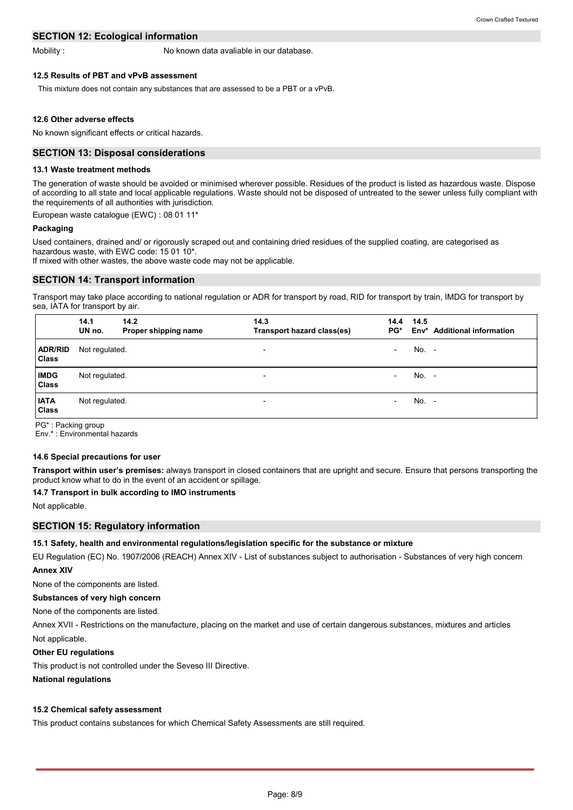# **SECTION 12: Ecological information**

Mobility :

No known data avaliable in our database.

### **12.5 Results of PBT and vPvB assessment**

This mixture does not contain any substances that are assessed to be a PBT or a vPvB.

#### **12.6 Other adverse effects**

No known significant effects or critical hazards.

### **SECTION 13: Disposal considerations**

#### **13.1 Waste treatment methods**

The generation of waste should be avoided or minimised wherever possible. Residues of the product is listed as hazardous waste. Dispose of according to all state and local applicable regulations. Waste should not be disposed of untreated to the sewer unless fully compliant with the requirements of all authorities with jurisdiction.

European waste catalogue (EWC) : 08 01 11\*

#### **Packaging**

Used containers, drained and/ or rigorously scraped out and containing dried residues of the supplied coating, are categorised as hazardous waste, with EWC code: 15 01 10\*.

If mixed with other wastes, the above waste code may not be applicable.

# **SECTION 14: Transport information**

Transport may take place according to national regulation or ADR for transport by road, RID for transport by train, IMDG for transport by sea, IATA for transport by air.

|                                | 14.1<br>UN no. | 14.2<br>Proper shipping name | 14.3<br>Transport hazard class(es) | 14.4<br>PG*              | 14.5    | Env <sup>*</sup> Additional information |
|--------------------------------|----------------|------------------------------|------------------------------------|--------------------------|---------|-----------------------------------------|
| <b>ADR/RID</b><br><b>Class</b> | Not regulated. |                              | $\overline{\phantom{a}}$           | $\overline{\phantom{0}}$ | $No. -$ |                                         |
| <b>IMDG</b><br>Class           | Not regulated. |                              | $\overline{\phantom{a}}$           | $\qquad \qquad$          | $No. -$ |                                         |
| <b>IATA</b><br>Class           | Not regulated. |                              | $\overline{\phantom{a}}$           | $\qquad \qquad$          | $No. -$ |                                         |

PG\* : Packing group

Env.\* : Environmental hazards

### **14.6 Special precautions for user**

**Transport within user's premises:** always transport in closed containers that are upright and secure. Ensure that persons transporting the product know what to do in the event of an accident or spillage.

#### **14.7 Transport in bulk according to IMO instruments**

Not applicable.

# **SECTION 15: Regulatory information**

#### **15.1 Safety, health and environmental regulations/legislation specific for the substance or mixture**

EU Regulation (EC) No. 1907/2006 (REACH) Annex XIV - List of substances subject to authorisation - Substances of very high concern **Annex XIV**

# None of the components are listed.

#### **Substances of very high concern**

None of the components are listed.

Not applicable. Annex XVII - Restrictions on the manufacture, placing on the market and use of certain dangerous substances, mixtures and articles

#### **Other EU regulations**

This product is not controlled under the Seveso III Directive.

**National regulations**

### **15.2 Chemical safety assessment**

This product contains substances for which Chemical Safety Assessments are still required.